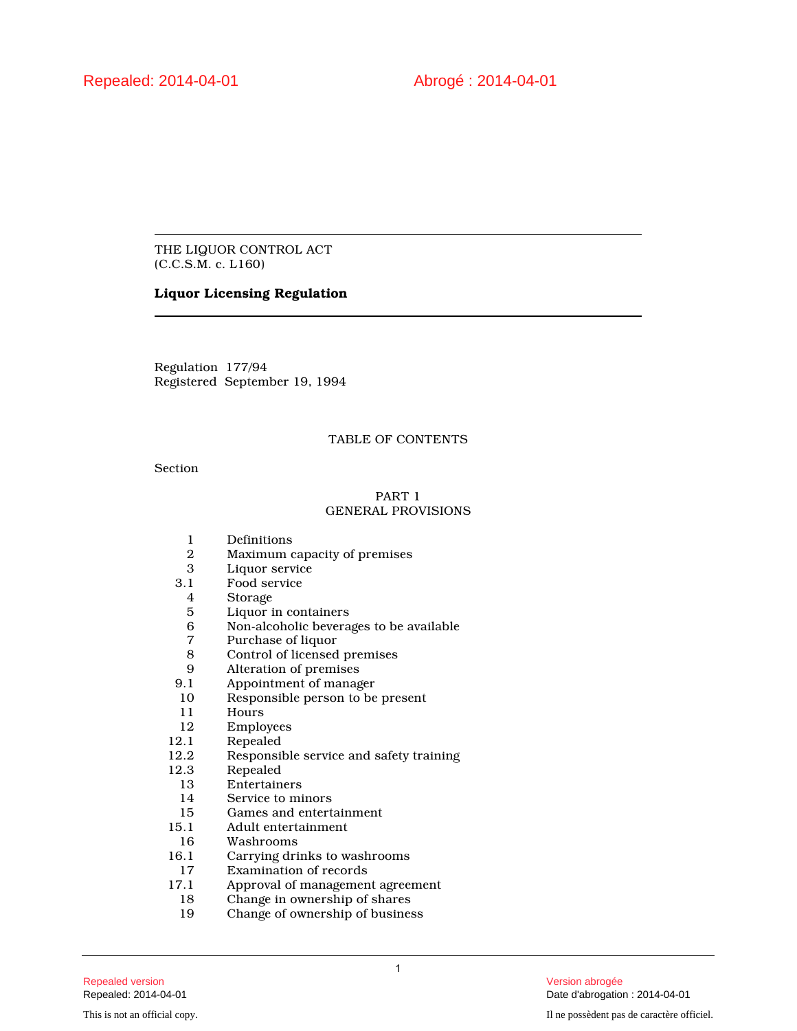THE LIQUOR CONTROL ACT (C.C.S.M. c. L160)

# **Liquor Licensing Regulation**

Regulation 177/94 Registered September 19, 1994

# TABLE OF CONTENTS

Section

# PART 1 GENERAL PROVISIONS

- 1 Definitions<br>2 Maximum o
- 2 Maximum capacity of premises
- 3 Liquor service<br>3.1 Food service
- 1 Food service<br>4 Storage
- 4 Storage
- 5 Liquor in containers<br>6 Non-alcoholic bevera
- 6 Non-alcoholic beverages to be available
- 7 Purchase of liquor<br>8 Control of licensed
- 8 Control of licensed premises<br>9 Alteration of premises
- 9 Alteration of premises<br>9.1 Appointment of manage
- Appointment of manager
- 10 Responsible person to be present<br>11 Hours
- 11 Hours<br>12 Employ
- 12 Employees<br>12.1 Repealed
- 12.1 Repealed<br>12.2 Responsil
- Responsible service and safety training
- 12.3 Repealed<br>13 Entertain
	- 13 Entertainers<br>14 Service to mi
	- 14 Service to minors<br>15 Games and entertain-
- 15 Games and entertainment<br>15.1 Adult entertainment
- 15.1 Adult entertainment
- 16 Washrooms
- 16.1 Carrying drinks to washrooms<br>17 Examination of records
- 17 Examination of records<br>17.1 Approval of management
- 7.1 Approval of management agreement<br>18 Change in ownership of shares
- 18 Change in ownership of shares<br>19 Change of ownership of busines
- Change of ownership of business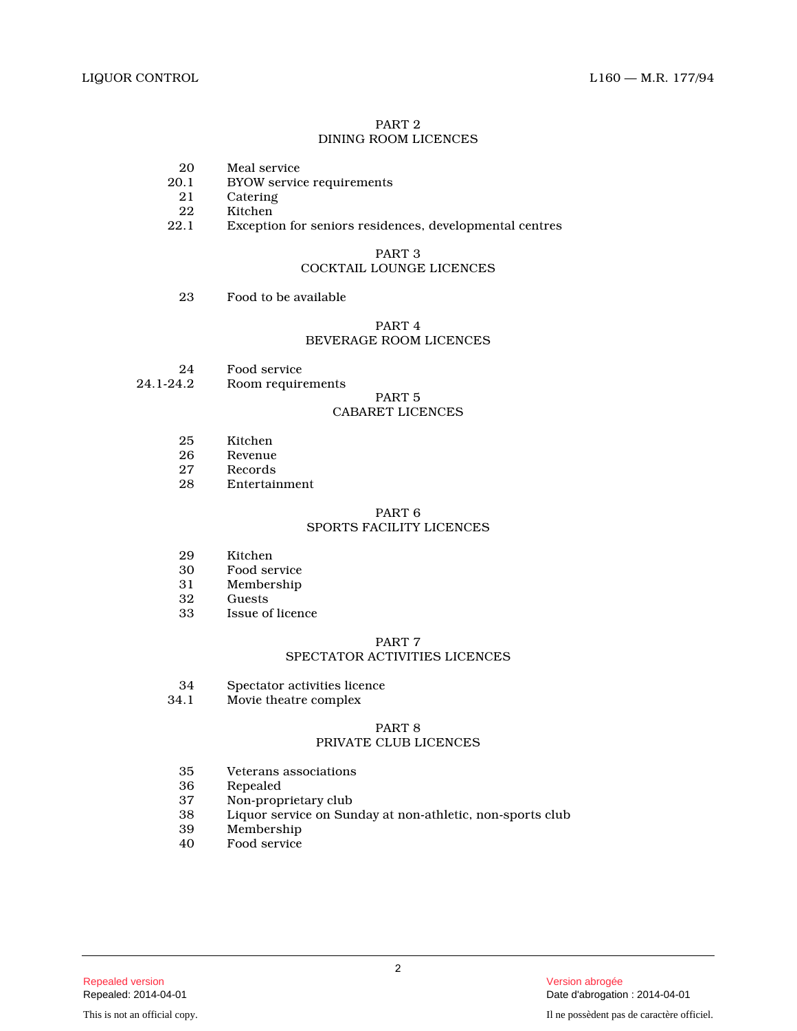### PART 2 DINING ROOM LICENCES

- 20 Meal service<br>20.1 BYOW servic
- 0.1 BYOW service requirements<br>21 Catering
- 21 Catering<br>22 Kitchen
- 22 Kitchen<br>22.1 Exception
- Exception for seniors residences, developmental centres

# PART 3 COCKTAIL LOUNGE LICENCES

23 Food to be available

# PART 4 BEVERAGE ROOM LICENCES

- 24 Food service<br>24.1-24.2 Room require
- Room requirements

# PART 5

# CABARET LICENCES

- 25 Kitchen
- 26 Revenue<br>27 Records
- 27 Records<br>28 Entertai
- **Entertainment**

# PART 6

# SPORTS FACILITY LICENCES

- 29 Kitchen<br>30 Food ser
- Food service
- 31 Membership
- 32 Guests<br>33 Issue of
- Issue of licence

### PART 7

# SPECTATOR ACTIVITIES LICENCES

- 34 Spectator activities licence<br>34.1 Movie theatre complex
- Movie theatre complex

# PART 8

# PRIVATE CLUB LICENCES

- 35 Veterans associations
- 36 Repealed
- 
- 37 Non-proprietary club<br>38 Liquor service on Sur Liquor service on Sunday at non-athletic, non-sports club
- 39 Membership<br>40 Food service
- Food service

2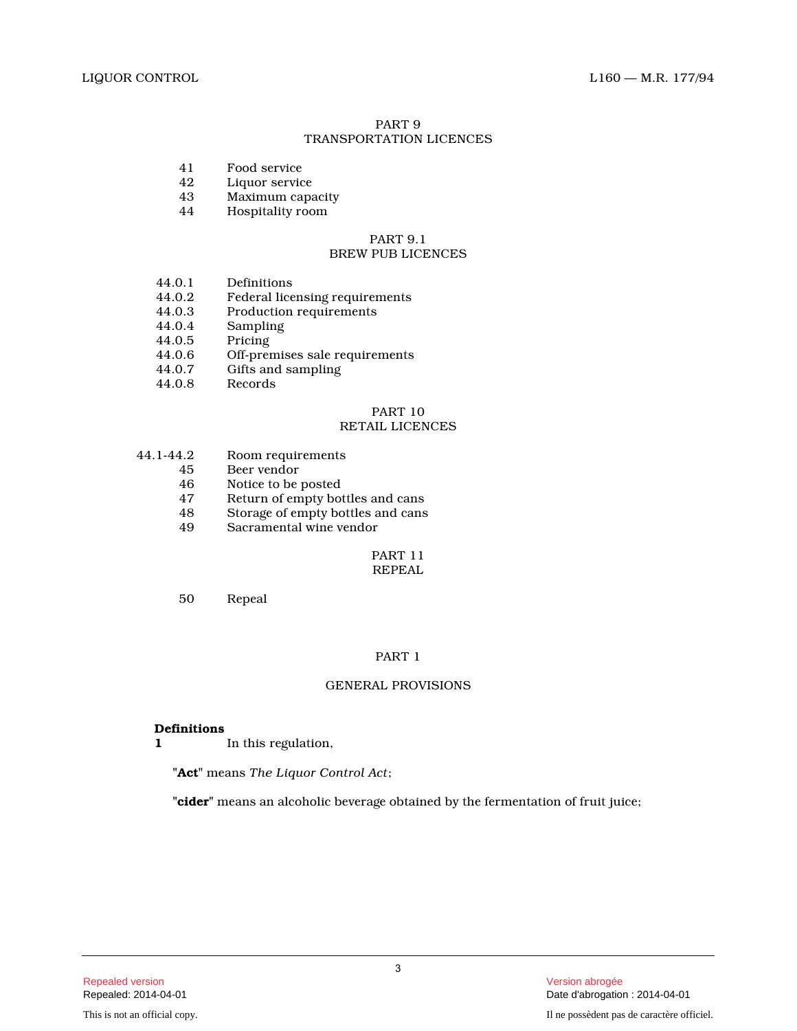#### PART 9 TRANSPORTATION LICENCES

- 41 Food service
- 42 Liquor service<br>43 Maximum capa
- 43 Maximum capacity<br>44 Hospitality room
- Hospitality room

# PART 9.1 BREW PUB LICENCES

- 44.0.1 Definitions<br>44.0.2 Federal lice
- 44.0.2 Federal licensing requirements<br>44.0.3 Production requirements
- Production requirements
- 44.0.4 Sampling
- 44.0.5 Pricing
- 44.0.6 Off-premises sale requirements<br>44.0.7 Gifts and sampling
- 44.0.7 Gifts and sampling<br>44.0.8 Records
- **Records**

#### PART 10 RETAIL LICENCES

- 44.1-44.2 Room requirements
	- 45 Beer vendor<br>46 Notice to be
	- 46 Notice to be posted<br>47 Return of empty bot
	- 47 Return of empty bottles and cans<br>48 Storage of empty bottles and cans
	- 48 Storage of empty bottles and cans<br>49 Sacramental wine vendor
	- Sacramental wine vendor

# PART 11 REPEAL

50 Repeal

# PART 1

# GENERAL PROVISIONS

# **Definitions**

**1** In this regulation,

**"Act"** means *The Liquor Control Act* ;

**"cider"** means an alcoholic beverage obtained by the fermentation of fruit juice;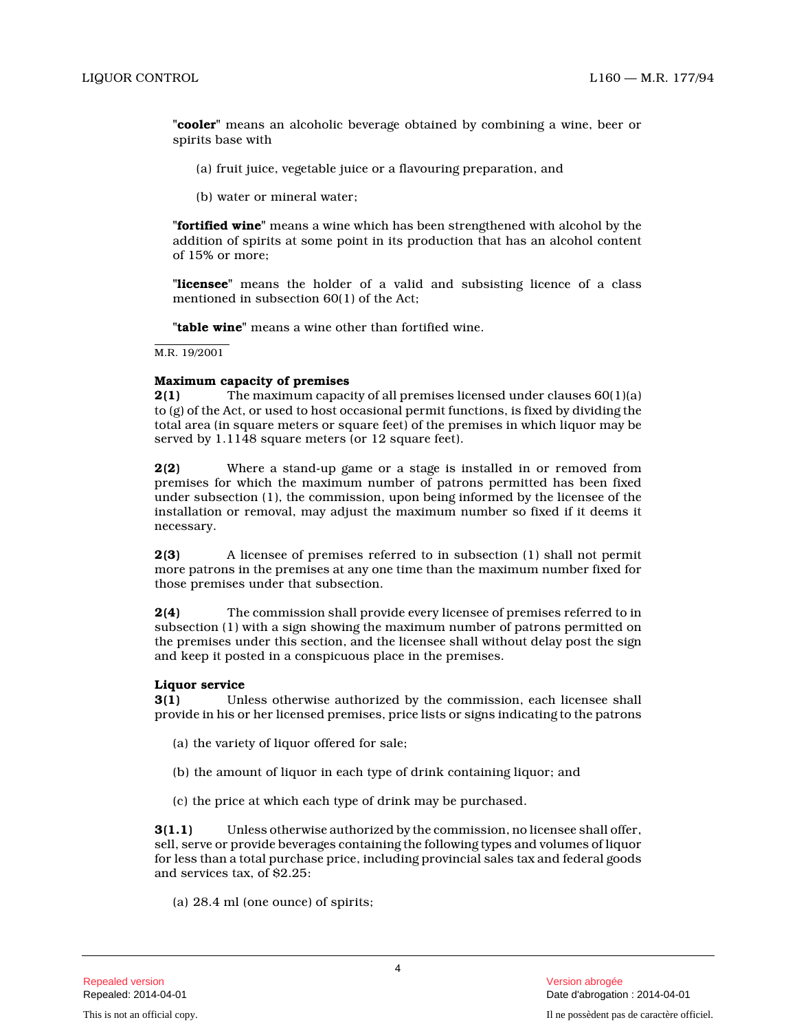**"cooler"** means an alcoholic beverage obtained by combining a wine, beer or spirits base with

- (a) fruit juice, vegetable juice or a flavouring preparation, and
- (b) water or mineral water;

**"fortified wine"** means a wine which has been strengthened with alcohol by the addition of spirits at some point in its production that has an alcohol content of 15% or more;

**"licensee"** means the holder of a valid and subsisting licence of a class mentioned in subsection 60(1) of the Act;

**"table wine"** means a wine other than fortified wine.

M.R. 19/2001

# **Maximum capacity of premises**

**2(1)** The maximum capacity of all premises licensed under clauses 60(1)(a) to (g) of the Act, or used to host occasional permit functions, is fixed by dividing the total area (in square meters or square feet) of the premises in which liquor may be served by 1.1148 square meters (or 12 square feet).

**2(2)** Where a stand-up game or a stage is installed in or removed from premises for which the maximum number of patrons permitted has been fixed under subsection (1), the commission, upon being informed by the licensee of the installation or removal, may adjust the maximum number so fixed if it deems it necessary.

**2(3)** A licensee of premises referred to in subsection (1) shall not permit more patrons in the premises at any one time than the maximum number fixed for those premises under that subsection.

**2(4)** The commission shall provide every licensee of premises referred to in subsection (1) with a sign showing the maximum number of patrons permitted on the premises under this section, and the licensee shall without delay post the sign and keep it posted in a conspicuous place in the premises.

# **Liquor service**

**3(1)** Unless otherwise authorized by the commission, each licensee shall provide in his or her licensed premises, price lists or signs indicating to the patrons

- (a) the variety of liquor offered for sale;
- (b) the amount of liquor in each type of drink containing liquor; and
- (c) the price at which each type of drink may be purchased.

**3(1.1)** Unless otherwise authorized by the commission, no licensee shall offer, sell, serve or provide beverages containing the following types and volumes of liquor for less than a total purchase price, including provincial sales tax and federal goods and services tax, of \$2.25:

(a) 28.4 ml (one ounce) of spirits;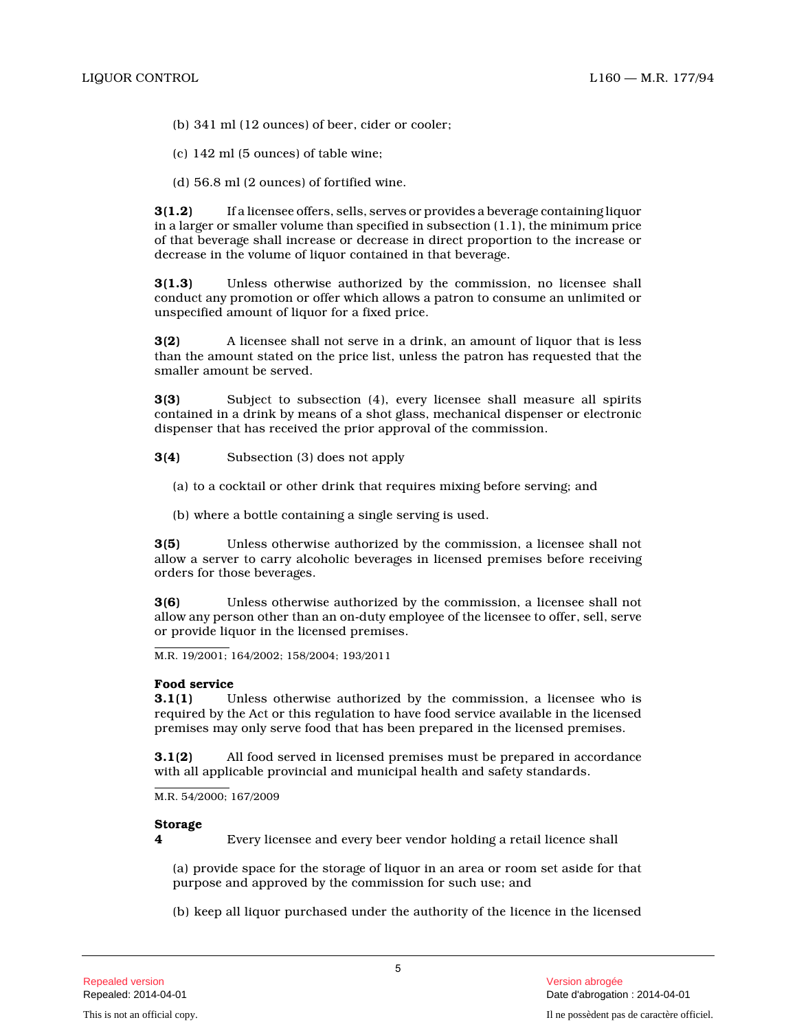- (b) 341 ml (12 ounces) of beer, cider or cooler;
- (c) 142 ml (5 ounces) of table wine;
- (d) 56.8 ml (2 ounces) of fortified wine.

**3(1.2)** If a licensee offers, sells, serves or provides a beverage containing liquor in a larger or smaller volume than specified in subsection (1.1), the minimum price of that beverage shall increase or decrease in direct proportion to the increase or decrease in the volume of liquor contained in that beverage.

**3(1.3)** Unless otherwise authorized by the commission, no licensee shall conduct any promotion or offer which allows a patron to consume an unlimited or unspecified amount of liquor for a fixed price.

**3(2)** A licensee shall not serve in a drink, an amount of liquor that is less than the amount stated on the price list, unless the patron has requested that the smaller amount be served.

**3(3)** Subject to subsection (4), every licensee shall measure all spirits contained in a drink by means of a shot glass, mechanical dispenser or electronic dispenser that has received the prior approval of the commission.

**3(4)** Subsection (3) does not apply

- (a) to a cocktail or other drink that requires mixing before serving; and
- (b) where a bottle containing a single serving is used.

**3(5)** Unless otherwise authorized by the commission, a licensee shall not allow a server to carry alcoholic beverages in licensed premises before receiving orders for those beverages.

**3(6)** Unless otherwise authorized by the commission, a licensee shall not allow any person other than an on-duty employee of the licensee to offer, sell, serve or provide liquor in the licensed premises.

M.R. 19/2001; 164/2002; 158/2004; 193/2011

# **Food service**

**3.1(1)** Unless otherwise authorized by the commission, a licensee who is required by the Act or this regulation to have food service available in the licensed premises may only serve food that has been prepared in the licensed premises.

**3.1(2)** All food served in licensed premises must be prepared in accordance with all applicable provincial and municipal health and safety standards.

M.R. 54/2000; 167/2009

# **Storage**

**4** Every licensee and every beer vendor holding a retail licence shall

(a) provide space for the storage of liquor in an area or room set aside for that purpose and approved by the commission for such use; and

(b) keep all liquor purchased under the authority of the licence in the licensed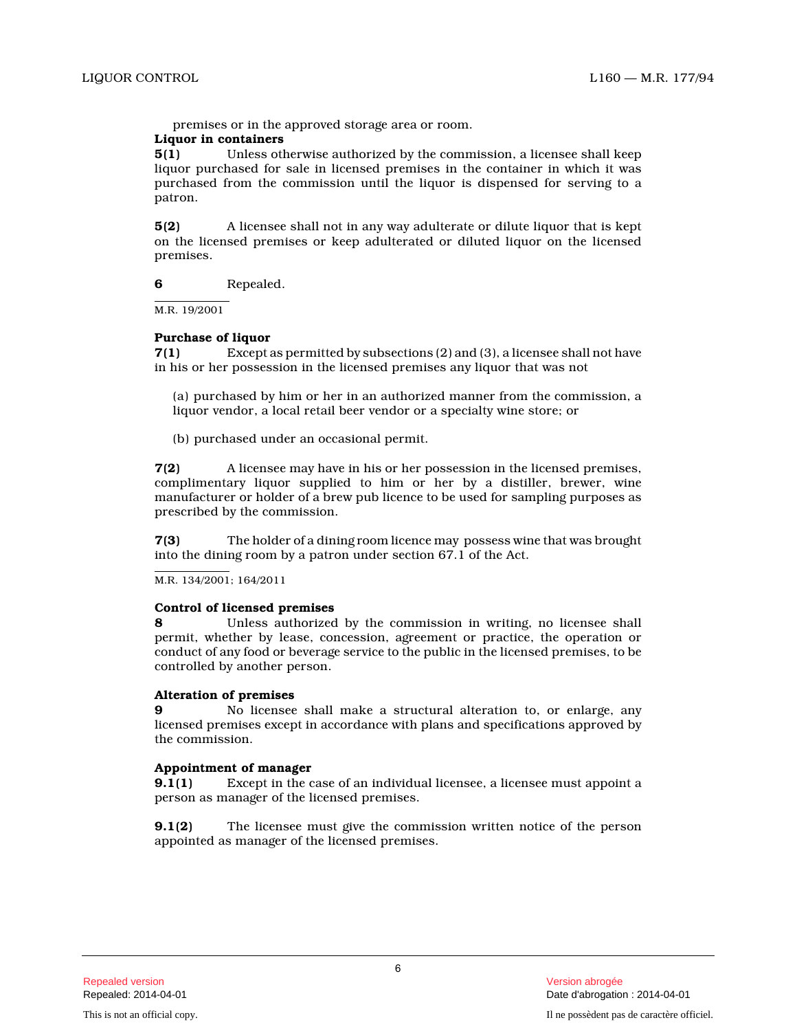premises or in the approved storage area or room.

# **Liquor in containers**

**5(1)** Unless otherwise authorized by the commission, a licensee shall keep liquor purchased for sale in licensed premises in the container in which it was purchased from the commission until the liquor is dispensed for serving to a patron.

**5(2)** A licensee shall not in any way adulterate or dilute liquor that is kept on the licensed premises or keep adulterated or diluted liquor on the licensed premises.

**6** Repealed.

M.R. 19/2001

# **Purchase of liquor**

**7(1)** Except as permitted by subsections (2) and (3), a licensee shall not have in his or her possession in the licensed premises any liquor that was not

(a) purchased by him or her in an authorized manner from the commission, a liquor vendor, a local retail beer vendor or a specialty wine store; or

(b) purchased under an occasional permit.

**7(2)** A licensee may have in his or her possession in the licensed premises, complimentary liquor supplied to him or her by a distiller, brewer, wine manufacturer or holder of a brew pub licence to be used for sampling purposes as prescribed by the commission.

**7(3)** The holder of a dining room licence may possess wine that was brought into the dining room by a patron under section 67.1 of the Act.

M.R. 134/2001; 164/2011

# **Control of licensed premises**

**8** Unless authorized by the commission in writing, no licensee shall permit, whether by lease, concession, agreement or practice, the operation or conduct of any food or beverage service to the public in the licensed premises, to be controlled by another person.

# **Alteration of premises**

**9** No licensee shall make a structural alteration to, or enlarge, any licensed premises except in accordance with plans and specifications approved by the commission.

# **Appointment of manager**

**9.1(1)** Except in the case of an individual licensee, a licensee must appoint a person as manager of the licensed premises.

**9.1(2)** The licensee must give the commission written notice of the person appointed as manager of the licensed premises.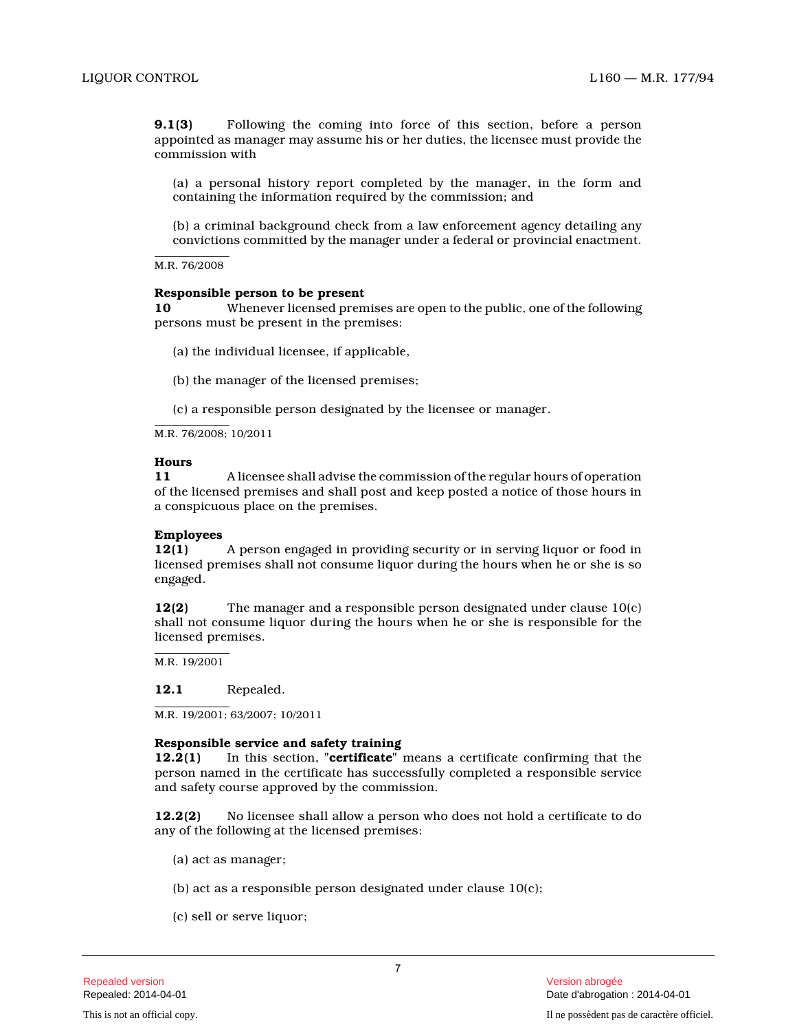**9.1(3)** Following the coming into force of this section, before a person appointed as manager may assume his or her duties, the licensee must provide the commission with

(a) a personal history report completed by the manager, in the form and containing the information required by the commission; and

(b) a criminal background check from a law enforcement agency detailing any convictions committed by the manager under a federal or provincial enactment.

M.R. 76/2008

# **Responsible person to be present**

**10** Whenever licensed premises are open to the public, one of the following persons must be present in the premises:

(a) the individual licensee, if applicable,

(b) the manager of the licensed premises;

(c) a responsible person designated by the licensee or manager.

M.R. 76/2008; 10/2011

#### **Hours**

**11** A licensee shall advise the commission of the regular hours of operation of the licensed premises and shall post and keep posted a notice of those hours in a conspicuous place on the premises.

# **Employees**

**12(1)** A person engaged in providing security or in serving liquor or food in licensed premises shall not consume liquor during the hours when he or she is so engaged.

**12(2)** The manager and a responsible person designated under clause 10(c) shall not consume liquor during the hours when he or she is responsible for the licensed premises.

M.R. 19/2001

# **12.1** Repealed.

M.R. 19/2001; 63/2007; 10/2011

# **Responsible service and safety training**

**12.2(1)** In this section, **"certificate"** means a certificate confirming that the person named in the certificate has successfully completed a responsible service and safety course approved by the commission.

**12.2(2)** No licensee shall allow a person who does not hold a certificate to do any of the following at the licensed premises:

- (a) act as manager;
- (b) act as a responsible person designated under clause 10(c);
- (c) sell or serve liquor;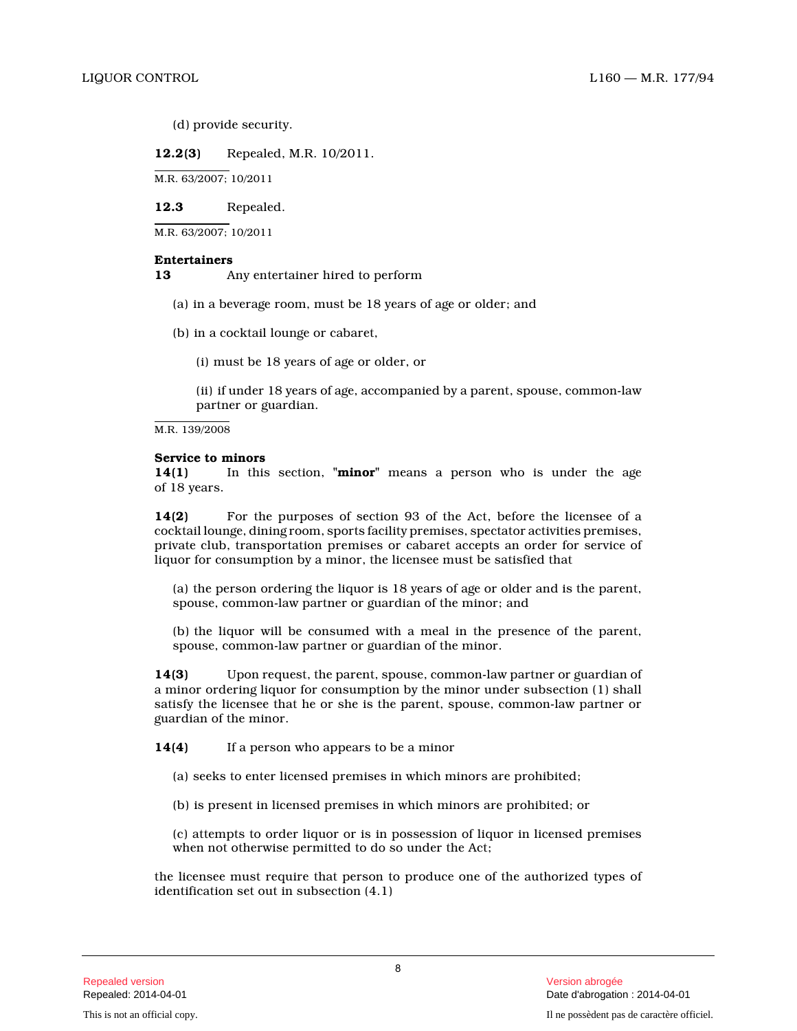(d) provide security.

**12.2(3)** Repealed, M.R. 10/2011.

M.R. 63/2007; 10/2011

**12.3** Repealed.

M.R. 63/2007; 10/2011

# **Entertainers**

**13** Any entertainer hired to perform

- (a) in a beverage room, must be 18 years of age or older; and
- (b) in a cocktail lounge or cabaret,

(i) must be 18 years of age or older, or

(ii) if under 18 years of age, accompanied by a parent, spouse, common-law partner or guardian.

M.R. 139/2008

# **Service to minors**

**14(1)** In this section, **"minor"** means a person who is under the age of 18 years.

**14(2)** For the purposes of section 93 of the Act, before the licensee of a cocktail lounge, dining room, sports facility premises, spectator activities premises, private club, transportation premises or cabaret accepts an order for service of liquor for consumption by a minor, the licensee must be satisfied that

(a) the person ordering the liquor is 18 years of age or older and is the parent, spouse, common-law partner or guardian of the minor; and

(b) the liquor will be consumed with a meal in the presence of the parent, spouse, common-law partner or guardian of the minor .

**14(3)** Upon request, the parent, spouse, common-law partner or guardian of a minor ordering liquor for consumption by the minor under subsection (1) shall satisfy the licensee that he or she is the parent, spouse, common-law partner or guardian of the minor.

**14(4)** If a person who appears to be a minor

- (a) seeks to enter licensed premises in which minors are prohibited;
- (b) is present in licensed premises in which minors are prohibited; or

(c) attempts to order liquor or is in possession of liquor in licensed premises when not otherwise permitted to do so under the Act ;

the licensee must require that person to produce one of the authorized types of identification set out in subsection (4.1)

8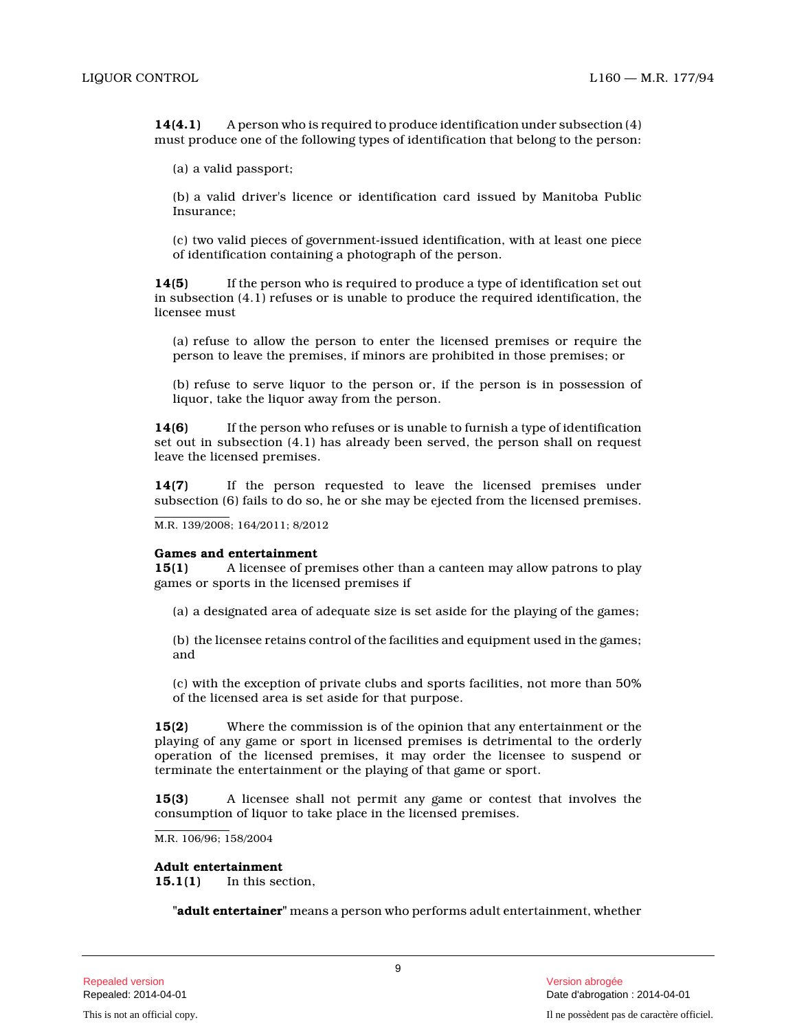**14(4.1)** A person who is required to produce identification under subsection (4) must produce one of the following types of identification that belong to the person:

(a) a valid passport;

(b) a valid driver's licence or identification card issued by Manitoba Public Insurance;

(c) two valid pieces of government-issued identification, with at least one piece of identification containing a photograph of the person.

**14(5)** If the person who is required to produce a type of identification set out in subsection (4.1) refuses or is unable to produce the required identification, the licensee must

(a) refuse to allow the person to enter the licensed premises or require the person to leave the premises, if minors are prohibited in those premises; or

(b) refuse to serve liquor to the person or, if the person is in possession of liquor, take the liquor away from the person.

**14(6)** If the person who refuses or is unable to furnish a type of identification set out in subsection (4.1) has already been served, the person shall on request leave the licensed premises.

**14(7)** If the person requested to leave the licensed premises under subsection (6) fails to do so, he or she may be ejected from the licensed premises.

M.R. 139/2008; 164/2011; 8/2012

#### **Games and entertainment**

**15(1)** A licensee of premises other than a canteen may allow patrons to play games or sports in the licensed premises if

(a) a designated area of adequate size is set aside for the playing of the games;

(b) the licensee retains control of the facilities and equipment used in the games; and

(c) with the exception of private clubs and sports facilities, not more than 50% of the licensed area is set aside for that purpose.

**15(2)** Where the commission is of the opinion that any entertainment or the playing of any game or sport in licensed premises is detrimental to the orderly operation of the licensed premises, it may order the licensee to suspend or terminate the entertainment or the playing of that game or sport.

**15(3)** A licensee shall not permit any game or contest that involves the consumption of liquor to take place in the licensed premises.

M.R. 106/96; 158/2004

# **Adult entertainment**

**15.1(1)** In this section,

**"adult entertainer"** means a person who performs adult entertainment, whether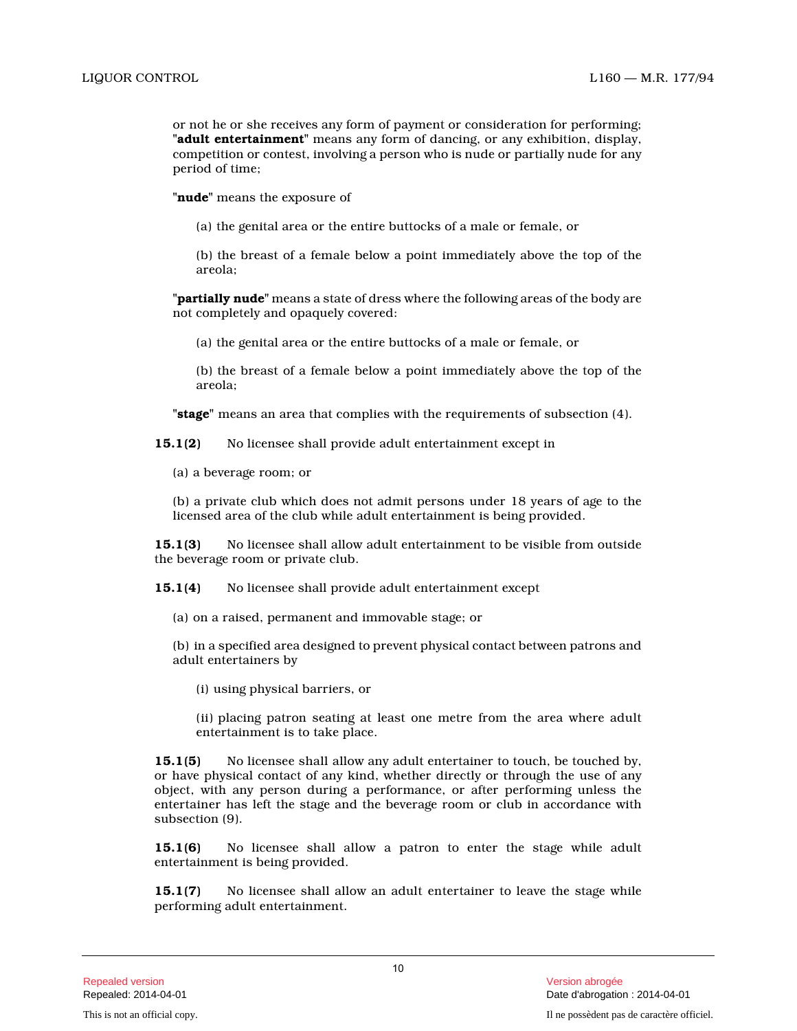or not he or she receives any form of payment or consideration for performing; **"adult entertainment"** means any form of dancing, or any exhibition, display, competition or contest, involving a person who is nude or partially nude for any period of time;

**"nude"** means the exposure of

(a) the genital area or the entire buttocks of a male or female, or

(b) the breast of a female below a point immediately above the top of the areola;

**"partially nude"** means a state of dress where the following areas of the body are not completely and opaquely covered:

(a) the genital area or the entire buttocks of a male or female, or

(b) the breast of a female below a point immediately above the top of the areola;

**"stage"** means an area that complies with the requirements of subsection (4).

**15.1(2)** No licensee shall provide adult entertainment except in

(a) a beverage room; or

(b) a private club which does not admit persons under 18 years of age to the licensed area of the club while adult entertainment is being provided.

**15.1(3)** No licensee shall allow adult entertainment to be visible from outside the beverage room or private club.

**15.1(4)** No licensee shall provide adult entertainment except

(a) on a raised, permanent and immovable stage; or

(b) in a specified area designed to prevent physical contact between patrons and adult entertainers by

(i) using physical barriers, or

(ii) placing patron seating at least one metre from the area where adult entertainment is to take place.

**15.1(5)** No licensee shall allow any adult entertainer to touch, be touched by, or have physical contact of any kind, whether directly or through the use of any object, with any person during a performance, or after performing unless the entertainer has left the stage and the beverage room or club in accordance with subsection (9).

**15.1(6)** No licensee shall allow a patron to enter the stage while adult entertainment is being provided.

**15.1(7)** No licensee shall allow an adult entertainer to leave the stage while performing adult entertainment.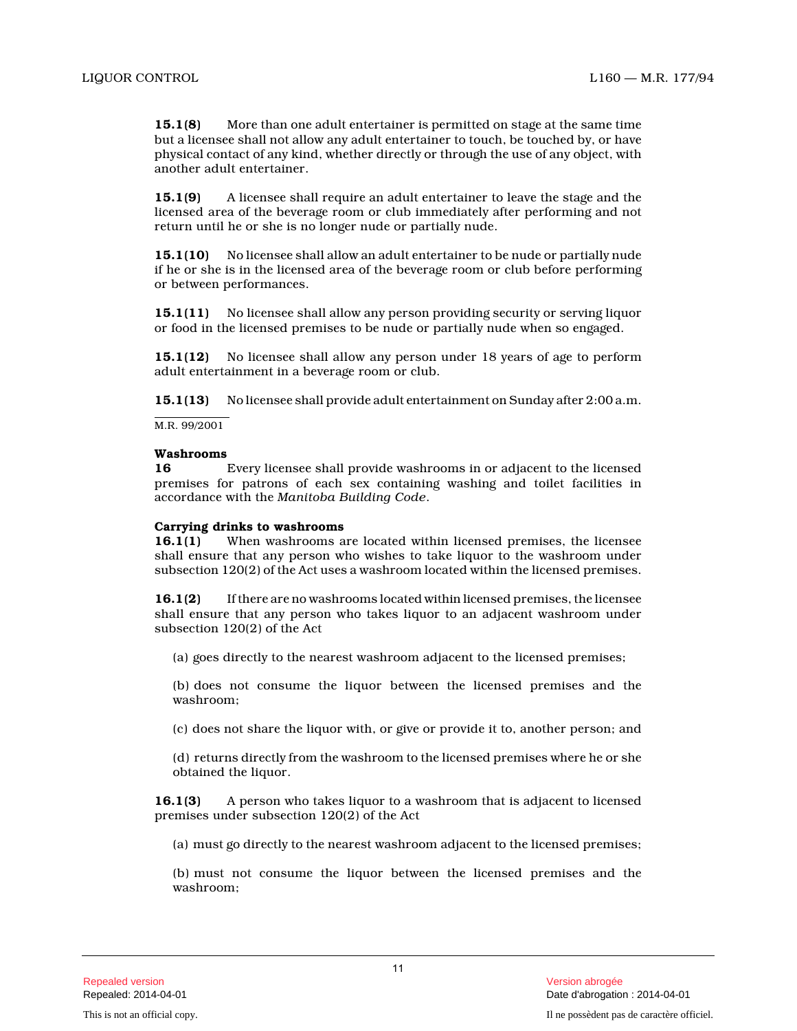**15.1(8)** More than one adult entertainer is permitted on stage at the same time but a licensee shall not allow any adult entertainer to touch, be touched by, or have physical contact of any kind, whether directly or through the use of any object, with another adult entertainer.

**15.1(9)** A licensee shall require an adult entertainer to leave the stage and the licensed area of the beverage room or club immediately after performing and not return until he or she is no longer nude or partially nude.

**15.1(10)** No licensee shall allow an adult entertainer to be nude or partially nude if he or she is in the licensed area of the beverage room or club before performing or between performances.

**15.1(11)** No licensee shall allow any person providing security or serving liquor or food in the licensed premises to be nude or partially nude when so engaged.

**15.1(12)** No licensee shall allow any person under 18 years of age to perform adult entertainment in a beverage room or club.

**15.1(13)** No licensee shall provide adult entertainment on Sunday after 2:00 a.m.

M.R. 99/2001

# **Washrooms**

**16** Every licensee shall provide washrooms in or adjacent to the licensed premises for patrons of each sex containing washing and toilet facilities in accordance with the *Manitoba Building Code* .

# **Carrying drinks to washrooms**

**16.1(1)** When washrooms are located within licensed premises, the licensee shall ensure that any person who wishes to take liquor to the washroom under subsection 120(2) of the Act uses a washroom located within the licensed premises.

**16.1(2)** If there are no washrooms located within licensed premises, the licensee shall ensure that any person who takes liquor to an adjacent washroom under subsection 120(2) of the Act

(a) goes directly to the nearest washroom adjacent to the licensed premises;

(b) does not consume the liquor between the licensed premises and the washroom;

(c) does not share the liquor with, or give or provide it to, another person; and

(d) returns directly from the washroom to the licensed premises where he or she obtained the liquor.

**16.1(3)** A person who takes liquor to a washroom that is adjacent to licensed premises under subsection 120(2) of the Act

(a) must go directly to the nearest washroom adjacent to the licensed premises;

(b) must not consume the liquor between the licensed premises and the washroom;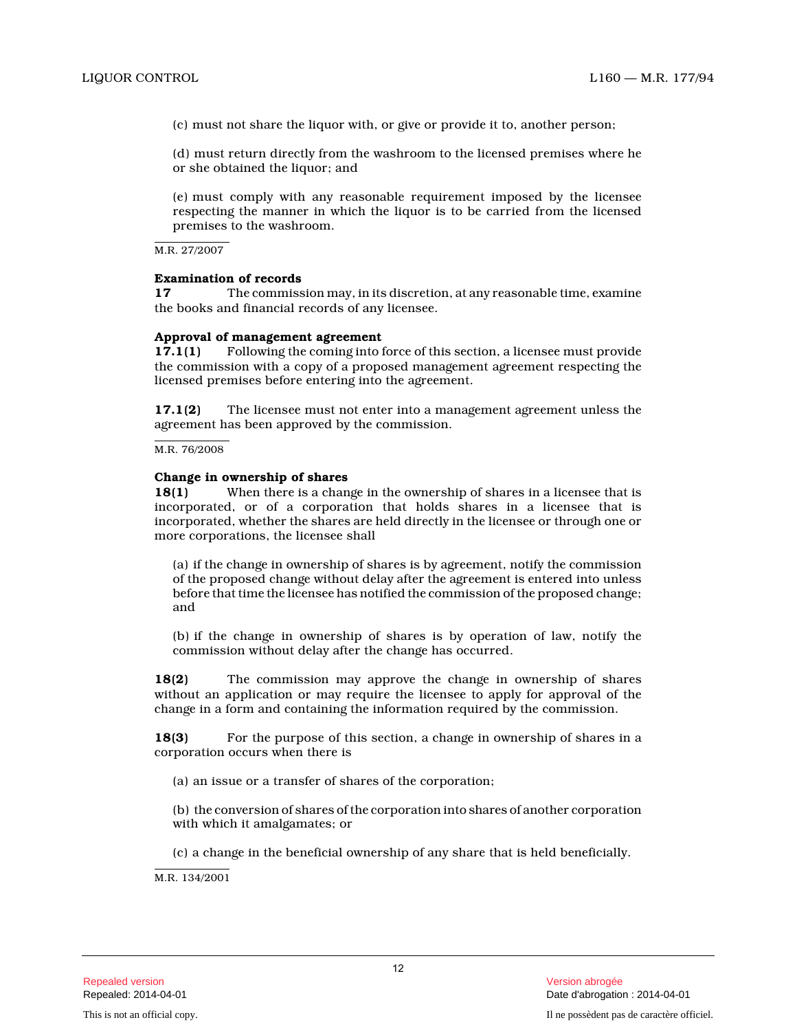(c) must not share the liquor with, or give or provide it to, another person;

(d) must return directly from the washroom to the licensed premises where he or she obtained the liquor; and

(e) must comply with any reasonable requirement imposed by the licensee respecting the manner in which the liquor is to be carried from the licensed premises to the washroom.

M.R. 27/2007

# **Examination of records**

**17** The commission may, in its discretion, at any reasonable time, examine the books and financial records of any licensee.

# **Approval of management agreement**

**17.1(1)** Following the coming into force of this section, a licensee must provide the commission with a copy of a proposed management agreement respecting the licensed premises before entering into the agreement.

**17.1(2)** The licensee must not enter into a management agreement unless the agreement has been approved by the commission.

M.R. 76/2008

# **Change in ownership of shares**

**18(1)** When there is a change in the ownership of shares in a licensee that is incorporated, or of a corporation that holds shares in a licensee that is incorporated, whether the shares are held directly in the licensee or through one or more corporations, the licensee shall

(a) if the change in ownership of shares is by agreement, notify the commission of the proposed change without delay after the agreement is entered into unless before that time the licensee has notified the commission of the proposed change; and

(b) if the change in ownership of shares is by operation of law, notify the commission without delay after the change has occurred.

**18(2)** The commission may approve the change in ownership of shares without an application or may require the licensee to apply for approval of the change in a form and containing the information required by the commission.

**18(3)** For the purpose of this section, a change in ownership of shares in a corporation occurs when there is

(a) an issue or a transfer of shares of the corporation;

(b) the conversion of shares of the corporation into shares of another corporation with which it amalgamates; or

(c) a change in the beneficial ownership of any share that is held beneficially.

M.R. 134/2001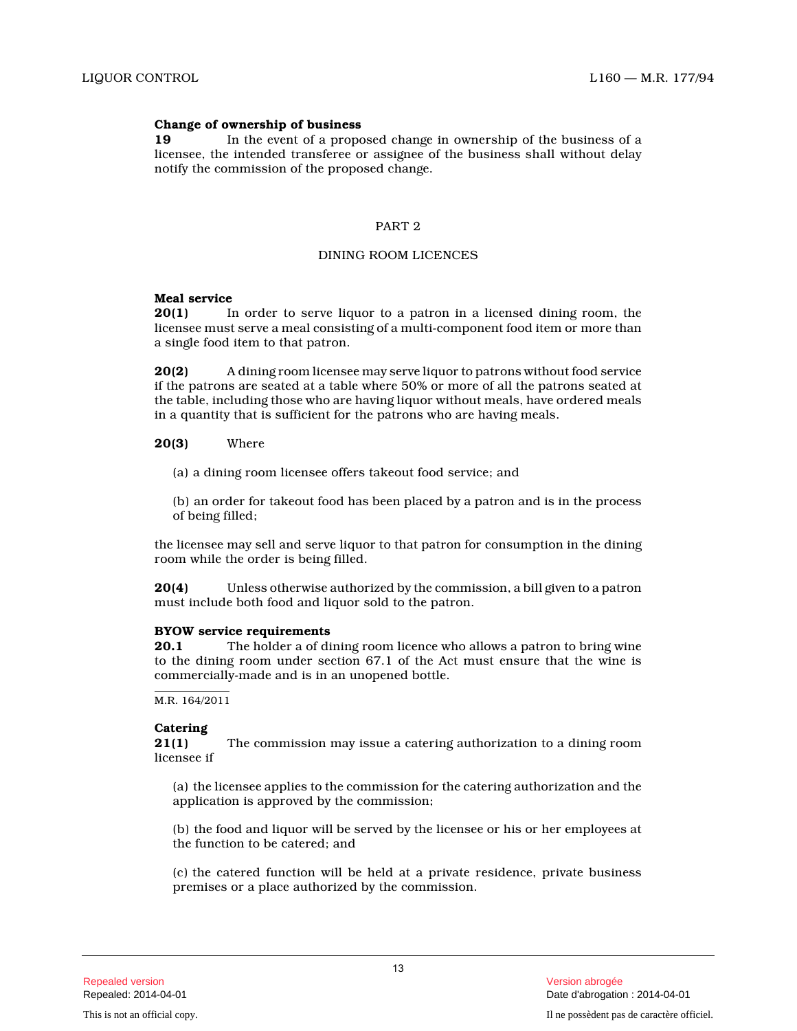### **Change of ownership of business**

**19** In the event of a proposed change in ownership of the business of a licensee, the intended transferee or assignee of the business shall without delay notify the commission of the proposed change.

# PART 2

### DINING ROOM LICENCES

#### **Meal service**

**20(1)** In order to serve liquor to a patron in a licensed dining room, the licensee must serve a meal consisting of a multi-component food item or more than a single food item to that patron.

**20(2)** A dining room licensee may serve liquor to patrons without food service if the patrons are seated at a table where 50% or more of all the patrons seated at the table, including those who are having liquor without meals, have ordered meals in a quantity that is sufficient for the patrons who are having meals.

**20(3)** Where

(a) a dining room licensee offers takeout food service; and

(b) an order for takeout food has been placed by a patron and is in the process of being filled;

the licensee may sell and serve liquor to that patron for consumption in the dining room while the order is being filled.

**20(4)** Unless otherwise authorized by the commission, a bill given to a patron must include both food and liquor sold to the patron.

#### **BYOW service requirements**

**20.1** The holder a of dining room licence who allows a patron to bring wine to the dining room under section 67.1 of the Act must ensure that the wine is commercially-made and is in an unopened bottle.

M.R. 164/2011

### **Catering**

**21(1)** The commission may issue a catering authorization to a dining room licensee if

(a) the licensee applies to the commission for the catering authorization and the application is approved by the commission;

(b) the food and liquor will be served by the licensee or his or her employees at the function to be catered; and

(c) the catered function will be held at a private residence, private business premises or a place authorized by the commission.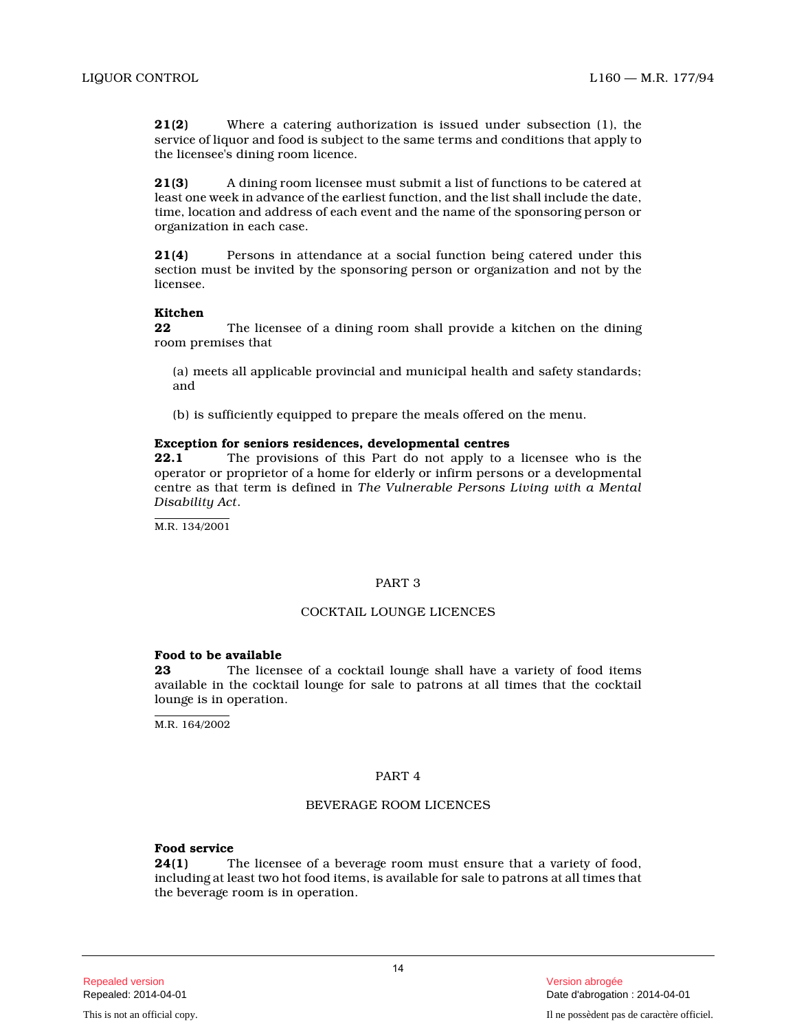**21(2)** Where a catering authorization is issued under subsection (1), the service of liquor and food is subject to the same terms and conditions that apply to the licensee's dining room licence.

**21(3)** A dining room licensee must submit a list of functions to be catered at least one week in advance of the earliest function, and the list shall include the date, time, location and address of each event and the name of the sponsoring person or organization in each case.

**21(4)** Persons in attendance at a social function being catered under this section must be invited by the sponsoring person or organization and not by the licensee.

# **Kitchen**

**22** The licensee of a dining room shall provide a kitchen on the dining room premises that

(a) meets all applicable provincial and municipal health and safety standards; and

(b) is sufficiently equipped to prepare the meals offered on the menu.

# **Exception for seniors residences, developmental centres**

**22.1** The provisions of this Part do not apply to a licensee who is the operator or proprietor of a home for elderly or infirm persons or a developmental centre as that term is defined in *The Vulnerable Persons Living with a Mental Disability Act* .

M.R. 134/2001

# PART 3

# COCKTAIL LOUNGE LICENCES

# **Food to be available**

**23** The licensee of a cocktail lounge shall have a variety of food items available in the cocktail lounge for sale to patrons at all times that the cocktail lounge is in operation.

M.R. 164/2002

# PART 4

# BEVERAGE ROOM LICENCES

# **Food service**

**24(1)** The licensee of a beverage room must ensure that a variety of food, including at least two hot food items, is available for sale to patrons at all times that the beverage room is in operation.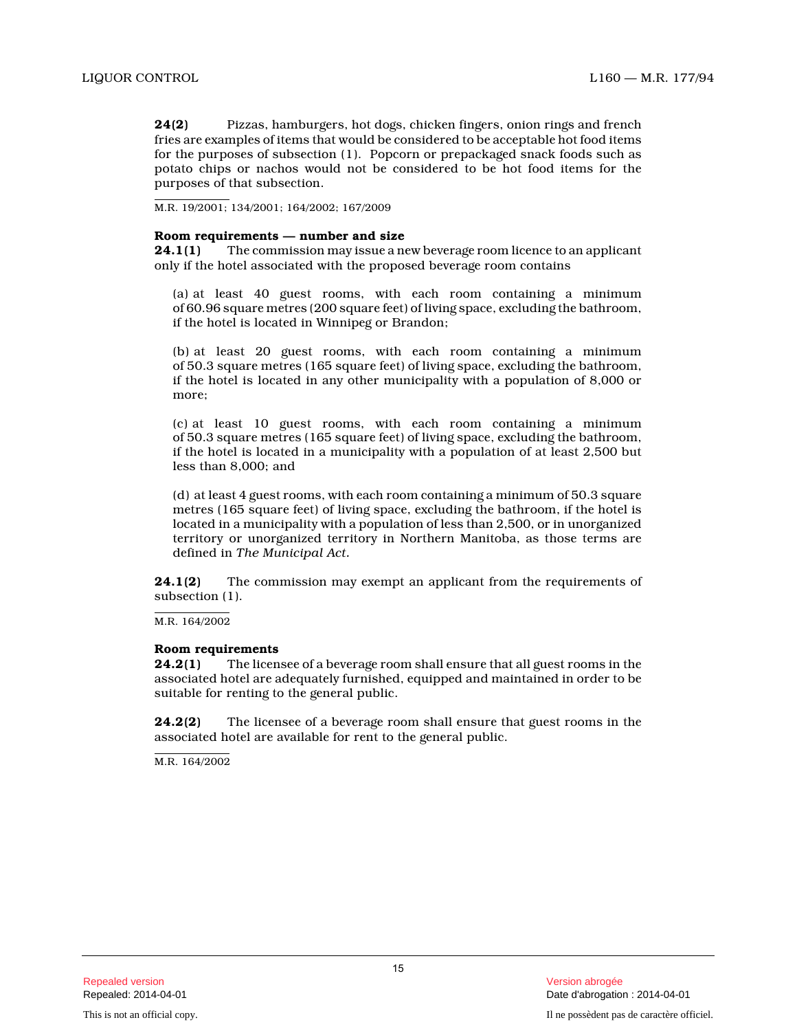**24(2)** Pizzas, hamburgers, hot dogs, chicken fingers, onion rings and french fries are examples of items that would be considered to be acceptable hot food items for the purposes of subsection (1). Popcorn or prepackaged snack foods such as potato chips or nachos would not be considered to be hot food items for the purposes of that subsection.

M.R. 19/2001; 134/2001; 164/2002; 167/2009

#### **Room requirements — number and size**

**24.1(1)** The commission may issue a new beverage room licence to an applicant only if the hotel associated with the proposed beverage room contains

(a) at least 40 guest rooms, with each room containing a minimum of 60.96 square metres (200 square feet) of living space, excluding the bathroom, if the hotel is located in Winnipeg or Brandon;

(b) at least 20 guest rooms, with each room containing a minimum of 50.3 square metres (165 square feet) of living space, excluding the bathroom, if the hotel is located in any other municipality with a population of 8,000 or more;

(c) at least 10 guest rooms, with each room containing a minimum of 50.3 square metres (165 square feet) of living space, excluding the bathroom, if the hotel is located in a municipality with a population of at least 2,500 but less than 8,000; and

(d) at least 4 guest rooms, with each room containing a minimum of 50.3 square metres (165 square feet) of living space, excluding the bathroom, if the hotel is located in a municipality with a population of less than 2,500, or in unorganized territory or unorganized territory in Northern Manitoba, as those terms are defined in *The Municipal Act.*

**24.1(2)** The commission may exempt an applicant from the requirements of subsection (1).

M.R. 164/2002

#### **Room requirements**

**24.2(1)** The licensee of a beverage room shall ensure that all guest rooms in the associated hotel are adequately furnished, equipped and maintained in order to be suitable for renting to the general public.

**24.2(2)** The licensee of a beverage room shall ensure that guest rooms in the associated hotel are available for rent to the general public.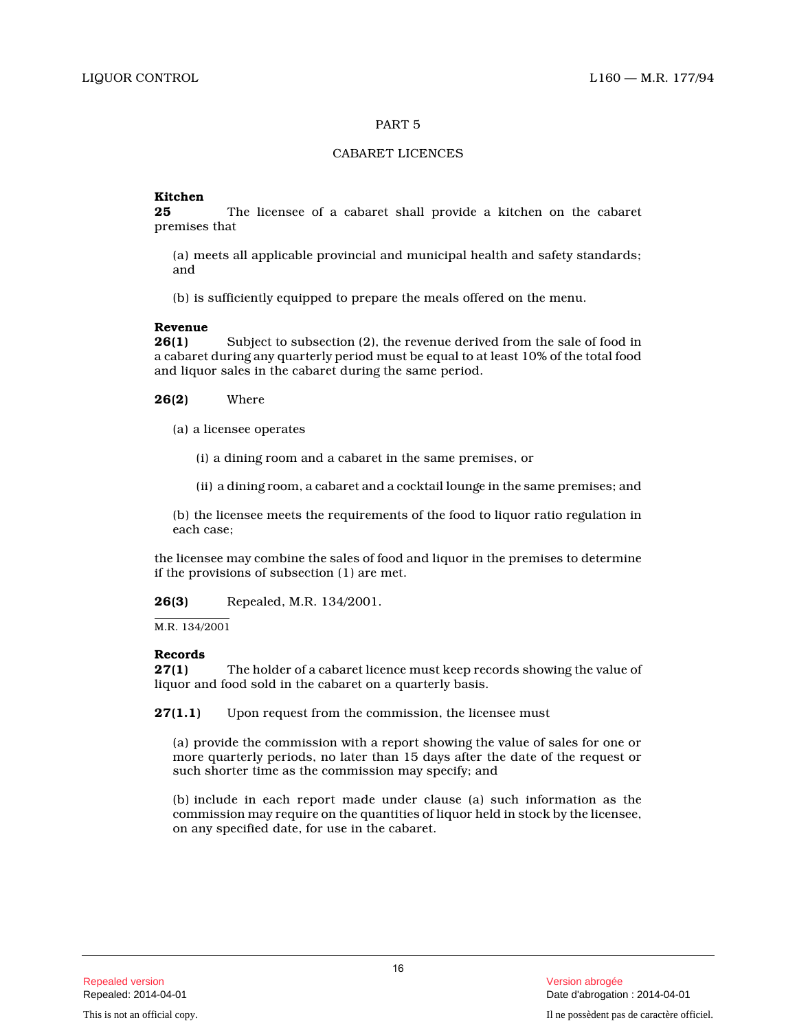# CABARET LICENCES

# **Kitchen**

**25** The licensee of a cabaret shall provide a kitchen on the cabaret premises that

(a) meets all applicable provincial and municipal health and safety standards; and

(b) is sufficiently equipped to prepare the meals offered on the menu.

**Revenue 26(1)** Subject to subsection (2), the revenue derived from the sale of food in a cabaret during any quarterly period must be equal to at least 10% of the total food and liquor sales in the cabaret during the same period.

**26(2)** Where

(a) a licensee operates

(i) a dining room and a cabaret in the same premises, or

(ii) a dining room, a cabaret and a cocktail lounge in the same premises; and

(b) the licensee meets the requirements of the food to liquor ratio regulation in each case;

the licensee may combine the sales of food and liquor in the premises to determine if the provisions of subsection (1) are met.

**26(3)** Repealed, M.R. 134/2001.

M.R. 134/2001

# **Records**

**27(1)** The holder of a cabaret licence must keep records showing the value of liquor and food sold in the cabaret on a quarterly basis.

**27(1.1)** Upon request from the commission, the licensee must

(a) provide the commission with a report showing the value of sales for one or more quarterly periods, no later than 15 days after the date of the request or such shorter time as the commission may specify; an d

(b) include in each report made under clause (a) such information as the commission may require on the quantities of liquor held in stock by the licensee, on any specified date, for use in the cabaret.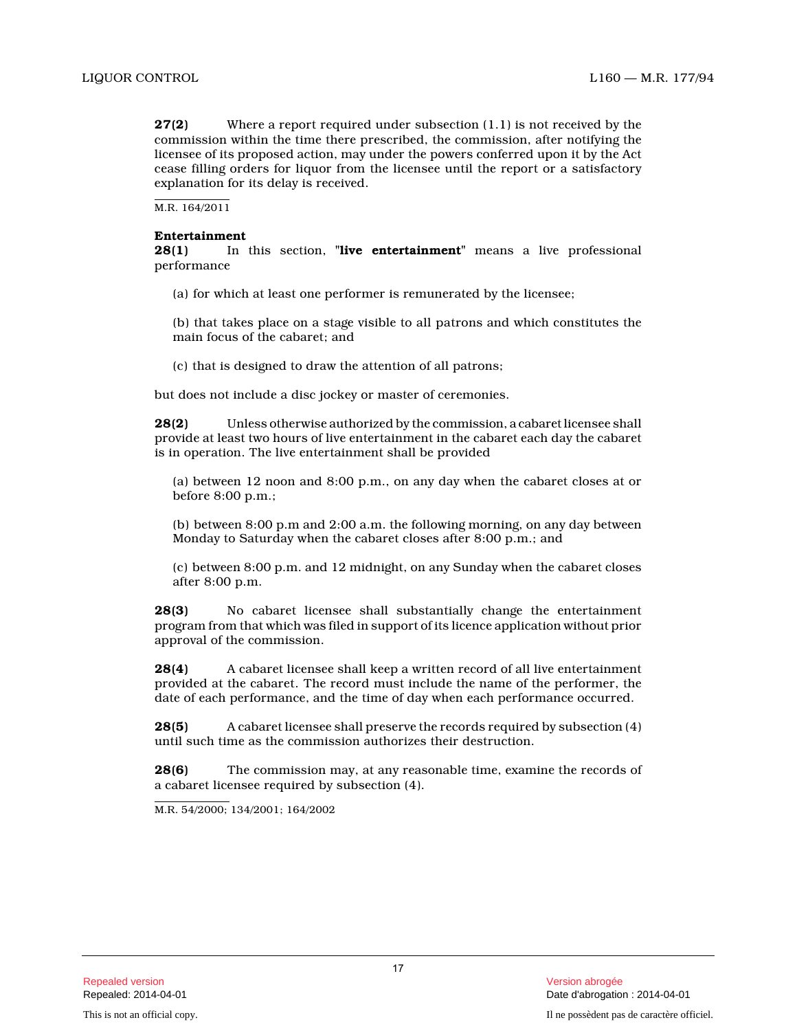**27(2)** Where a report required under subsection (1.1) is not received by the commission within the time there prescribed, the commission, after notifying the licensee of its proposed action, may under the powers conferred upon it by the Act cease filling orders for liquor from the licensee until the report or a satisfactory explanation for its delay is received.

M.R. 164/2011

# **Entertainment**

**28(1)** In this section, **"live entertainment"** means a live professional performance

(a) for which at least one performer is remunerated by the licensee;

(b) that takes place on a stage visible to all patrons and which constitutes the main focus of the cabaret; and

(c) that is designed to draw the attention of all patrons;

but does not include a disc jockey or master of ceremonies.

**28(2)** Unless otherwise authorized by the commission, a cabaret licensee shall provide at least two hours of live entertainment in the cabaret each day the cabaret is in operation. The live entertainment shall be provided

(a) between 12 noon and 8:00 p.m., on any day when the cabaret closes at or before 8:00 p.m.;

(b) between 8:00 p.m and 2:00 a.m. the following morning, on any day between Monday to Saturday when the cabaret closes after 8:00 p.m.; and

(c) between 8:00 p.m. and 12 midnight, on any Sunday when the cabaret closes after 8:00 p.m.

**28(3)** No cabaret licensee shall substantially change the entertainment program from that which was filed in support of its licence application without prior approval of the commission.

**28(4)** A cabaret licensee shall keep a written record of all live entertainment provided at the cabaret. The record must include the name of the performer, the date of each performance, and the time of day when each performance occurred.

**28(5)** A cabaret licensee shall preserve the records required by subsection (4) until such time as the commission authorizes their destruction.

**28(6)** The commission may, at any reasonable time, examine the records of a cabaret licensee required by subsection (4).

M.R. 54/2000; 134/2001; 164/2002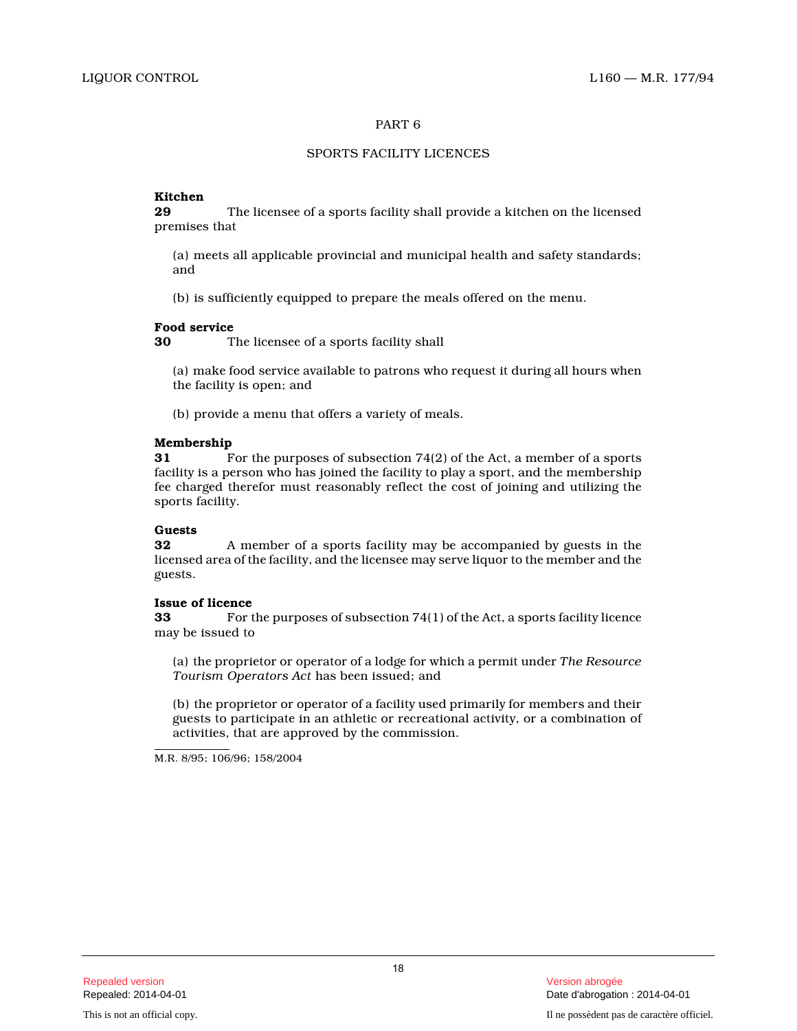# SPORTS FACILITY LICENCES

# **Kitchen**

**29** The licensee of a sports facility shall provide a kitchen on the licensed premises that

(a) meets all applicable provincial and municipal health and safety standards; and

(b) is sufficiently equipped to prepare the meals offered on the menu.

# **Food service**

**30** The licensee of a sports facility shall

(a) make food service available to patrons who request it during all hours when the facility is open; and

(b) provide a menu that offers a variety of meals.

# **Membership**<br>31 F

**31** For the purposes of subsection 74(2) of the Act, a member of a sports facility is a person who has joined the facility to play a sport, and the membership fee charged therefor must reasonably reflect the cost of joining and utilizing the sports facility.

# **Guests**

**32** A member of a sports facility may be accompanied by guests in the licensed area of the facility, and the licensee may serve liquor to the member and the guests.

# **Issue of licence**

**33** For the purposes of subsection 74(1) of the Act, a sports facility licence may be issued to

(a) the proprietor or operator of a lodge for which a permit under *The Resource Tourism Operators Act* has been issued; and

(b) the proprietor or operator of a facility used primarily for members and their guests to participate in an athletic or recreational activity, or a combination of activities, that are approved by the commission.

M.R. 8/95; 106/96; 158/2004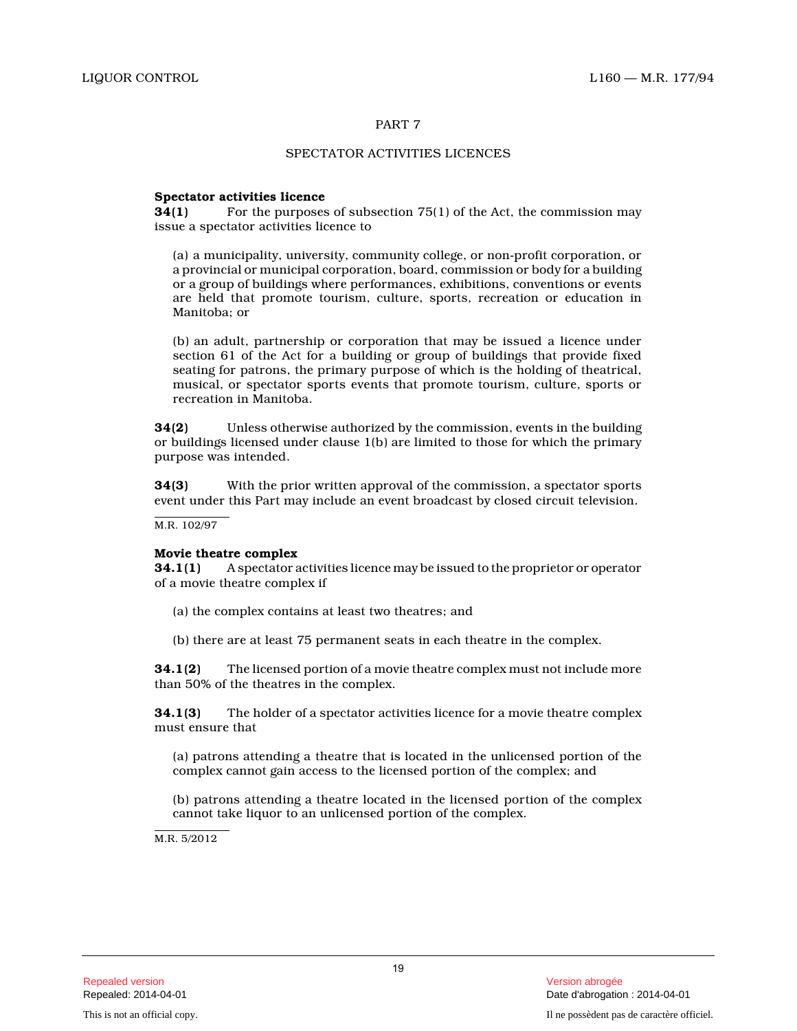# SPECTATOR ACTIVITIES LICENCES

# **Spectator activities licence**

**34(1)** For the purposes of subsection 75(1) of the Act, the commission may issue a spectator activities licence to

(a) a municipality, university, community college, or non-profit corporation, or a provincial or municipal corporation, board, commission or body for a building or a group of buildings where performances, exhibitions, conventions or events are held that promote tourism, culture, sports, recreation or education in Manitoba; or

(b) an adult, partnership or corporation that may be issued a licence under section 61 of the Act for a building or group of buildings that provide fixed seating for patrons, the primary purpose of which is the holding of theatrical, musical, or spectator sports events that promote tourism, culture, sports or recreation in Manitoba.

**34(2)** Unless otherwise authorized by the commission, events in the building or buildings licensed under clause 1(b) are limited to those for which the primary purpose was intended.

**34(3)** With the prior written approval of the commission, a spectator sports event under this Part may include an event broadcast by closed circuit television.

M.R. 102/97

# **Movie theatre complex**

**34.1(1)** A spectator activities licence may be issued to the proprietor or operator of a movie theatre complex if

- (a) the complex contains at least two theatres; and
- (b) there are at least 75 permanent seats in each theatre in the complex.

**34.1(2)** The licensed portion of a movie theatre complex must not include more than 50% of the theatres in the complex.

**34.1(3)** The holder of a spectator activities licence for a movie theatre complex must ensure that

(a) patrons attending a theatre that is located in the unlicensed portion of the complex cannot gain access to the licensed portion of the complex; and

(b) patrons attending a theatre located in the licensed portion of the complex cannot take liquor to an unlicensed portion of the complex.

M.R. 5/2012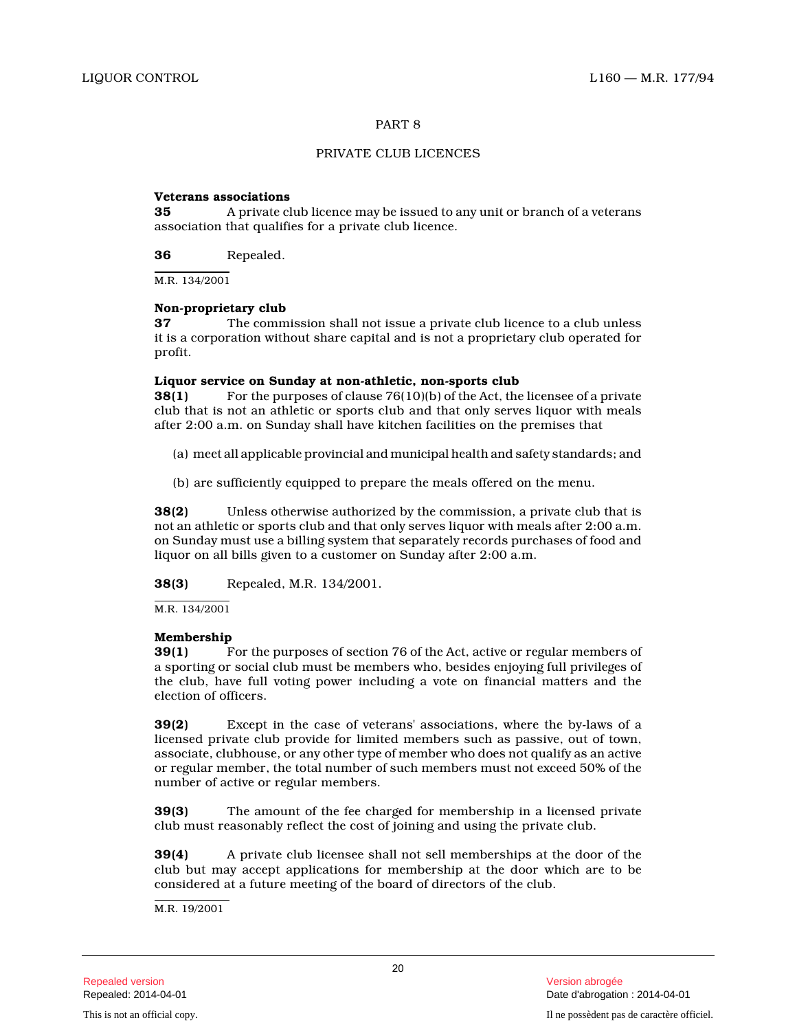# PRIVATE CLUB LICENCES

# **Veterans associations**

**35** A private club licence may be issued to any unit or branch of a veterans association that qualifies for a private club licence.

**36** Repealed.

M.R. 134/2001

# **Non-proprietary club**

**37** The commission shall not issue a private club licence to a club unless it is a corporation without share capital and is not a proprietary club operated for profit.

# **Liquor service on Sunday at non-athletic, non-sports club**

**38(1)** For the purposes of clause 76(10)(b) of the Act, the licensee of a private club that is not an athletic or sports club and that only serves liquor with meals after 2:00 a.m. on Sunday shall have kitchen facilities on the premises that

- (a) meet all applicable provincial and municipal health and safety standards; and
- (b) are sufficiently equipped to prepare the meals offered on the menu.

**38(2)** Unless otherwise authorized by the commission, a private club that is not an athletic or sports club and that only serves liquor with meals after 2:00 a.m. on Sunday must use a billing system that separately records purchases of food and liquor on all bills given to a customer on Sunday after 2:00 a.m.

**38(3)** Repealed, M.R. 134/2001.

M.R. 134/2001

# **Membership**

**39(1)** For the purposes of section 76 of the Act, active or regular members of a sporting or social club must be members who, besides enjoying full privileges of the club, have full voting power including a vote on financial matters and the election of officers.

**39(2)** Except in the case of veterans' associations, where the by-laws of a licensed private club provide for limited members such as passive, out of town, associate, clubhouse, or any other type of member who does not qualify as an active or regular member, the total number of such members must not exceed 50% of the number of active or regular members.

**39(3)** The amount of the fee charged for membership in a licensed private club must reasonably reflect the cost of joining and using the private club.

**39(4)** A private club licensee shall not sell memberships at the door of the club but may accept applications for membership at the door which are to be considered at a future meeting of the board of directors of the club.

M.R. 19/2001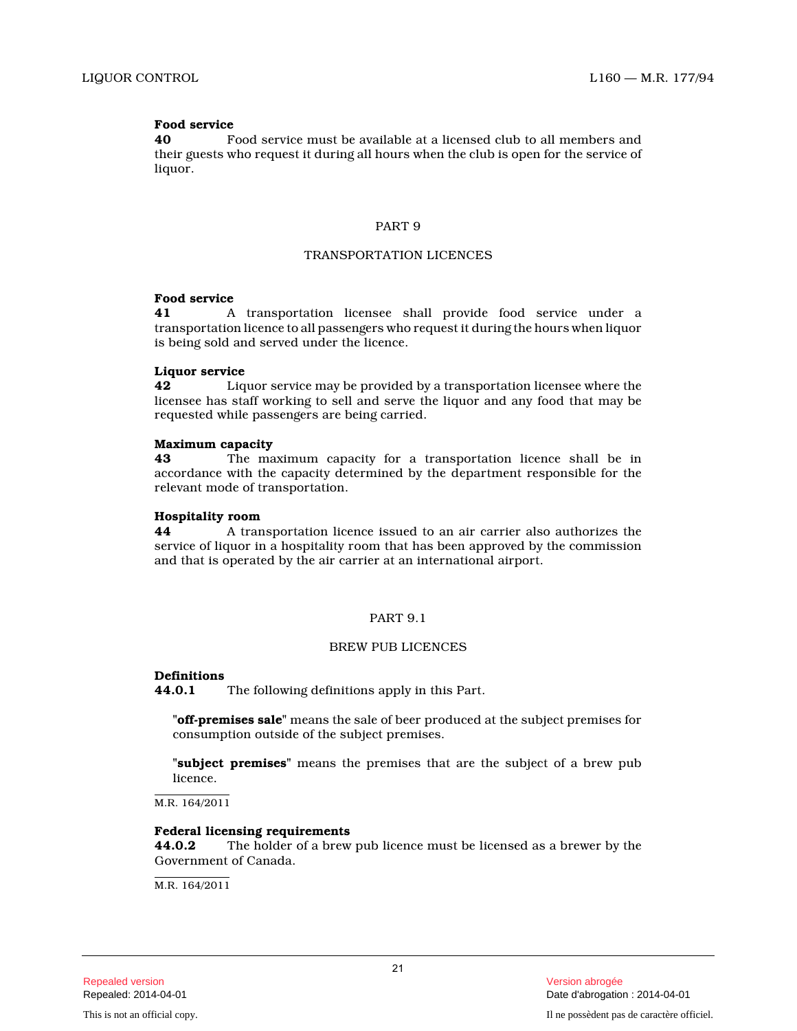# **Food service**

**40** Food service must be available at a licensed club to all members and their guests who request it during all hours when the club is open for the service of liquor.

# PART 9

### TRANSPORTATION LICENCES

#### **Food service**

**41** A transportation licensee shall provide food service under a transportation licence to all passengers who request it during the hours when liquor is being sold and served under the licence.

#### **Liquor service**

**42** Liquor service may be provided by a transportation licensee where the licensee has staff working to sell and serve the liquor and any food that may be requested while passengers are being carried.

# **Maximum capacity**

**43** The maximum capacity for a transportation licence shall be in accordance with the capacity determined by the department responsible for the relevant mode of transportation.

#### **Hospitality room**

**44** A transportation licence issued to an air carrier also authorizes the service of liquor in a hospitality room that has been approved by the commission and that is operated by the air carrier at an international airport.

# PART 9.1

#### BREW PUB LICENCES

#### **Definitions**

**44.0.1** The following definitions apply in this Part.

**"off-premises sale"** means the sale of beer produced at the subject premises for consumption outside of the subject premises.

**"subject premises"** means the premises that are the subject of a brew pub licence.

 $M.R. 164/2011$ 

#### **Federal licensing requirements**

**44.0.2** The holder of a brew pub licence must be licensed as a brewer by the Government of Canada.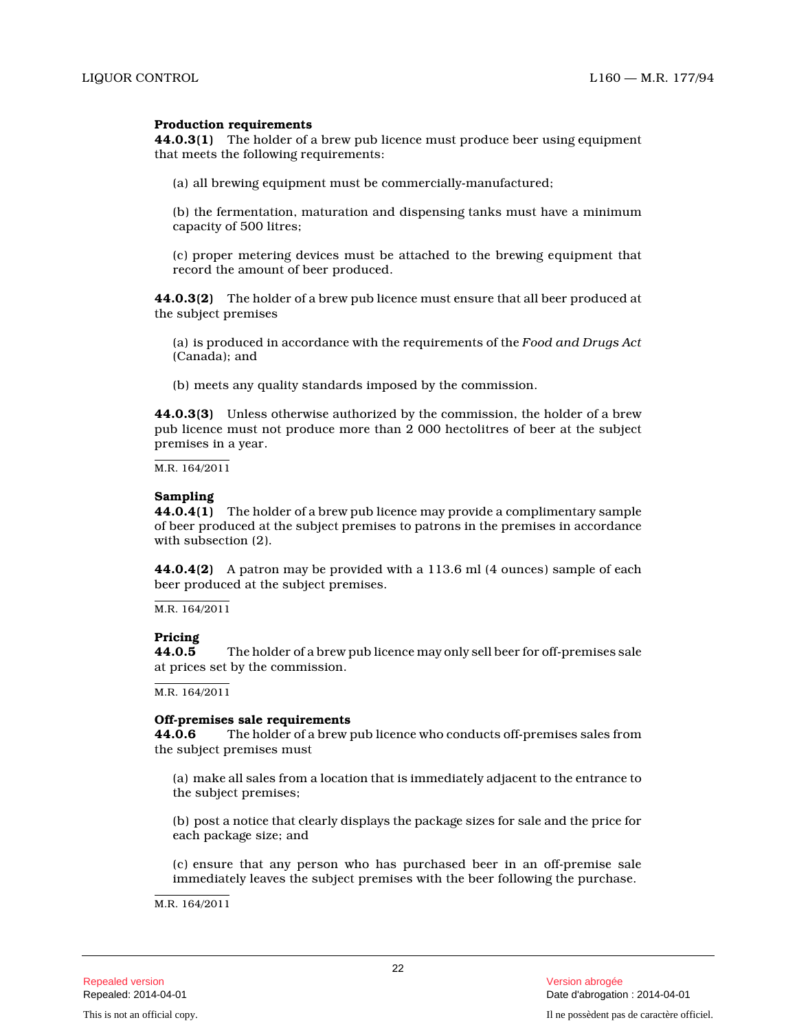# **Production requirements**

**44.0.3(1)** The holder of a brew pub licence must produce beer using equipment that meets the following requirements:

(a) all brewing equipment must be commercially-manufactured;

(b) the fermentation, maturation and dispensing tanks must have a minimum capacity of 500 litres;

(c) proper metering devices must be attached to the brewing equipment that record the amount of beer produced.

**44.0.3(2)** The holder of a brew pub licence must ensure that all beer produced at the subject premises

(a) is produced in accordance with the requirements of the *Food and Drugs Act* (Canada); and

(b) meets any quality standards imposed by the commission.

**44.0.3(3)** Unless otherwise authorized by the commission, the holder of a brew pub licence must not produce more than 2 000 hectolitres of beer at the subject premises in a year.

M.R. 164/2011

# **Sampling**

**44.0.4(1)** The holder of a brew pub licence may provide a complimentary sample of beer produced at the subject premises to patrons in the premises in accordance with subsection (2).

**44.0.4(2)** A patron may be provided with a 113.6 ml (4 ounces) sample of each beer produced at the subject premises.

M.R. 164/2011

# **Pricing**

The holder of a brew pub licence may only sell beer for off-premises sale at prices set by the commission.

M.R. 164/2011

# **Off-premises sale requirements**

**44.0.6** The holder of a brew pub licence who conducts off-premises sales from the subject premises must

(a) make all sales from a location that is immediately adjacent to the entrance to the subject premises;

(b) post a notice that clearly displays the package sizes for sale and the price for each package size; and

(c) ensure that any person who has purchased beer in an off-premise sale immediately leaves the subject premises with the beer following the purchase.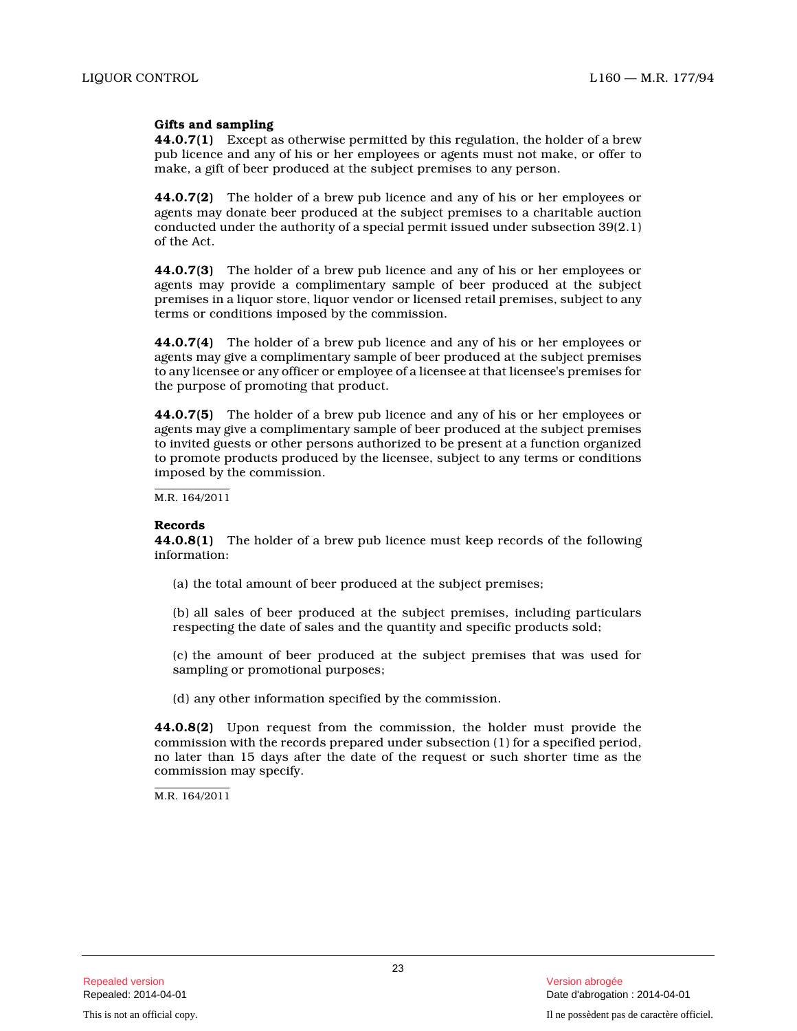# **Gifts and sampling**

**44.0.7(1)** Except as otherwise permitted by this regulation, the holder of a brew pub licence and any of his or her employees or agents must not make, or offer to make, a gift of beer produced at the subject premises to any person.

**44.0.7(2)** The holder of a brew pub licence and any of his or her employees or agents may donate beer produced at the subject premises to a charitable auction conducted under the authority of a special permit issued under subsection 39(2.1) of the Act.

**44.0.7(3)** The holder of a brew pub licence and any of his or her employees or agents may provide a complimentary sample of beer produced at the subject premises in a liquor store, liquor vendor or licensed retail premises, subject to any terms or conditions imposed by the commission.

**44.0.7(4)** The holder of a brew pub licence and any of his or her employees or agents may give a complimentary sample of beer produced at the subject premises to any licensee or any officer or employee of a licensee at that licensee's premises for the purpose of promoting that product.

**44.0.7(5)** The holder of a brew pub licence and any of his or her employees or agents may give a complimentary sample of beer produced at the subject premises to invited guests or other persons authorized to be present at a function organized to promote products produced by the licensee, subject to any terms or conditions imposed by the commission.

M.R. 164/2011

# **Records**

**44.0.8(1)** The holder of a brew pub licence must keep records of the following information:

(a) the total amount of beer produced at the subject premises;

(b) all sales of beer produced at the subject premises, including particulars respecting the date of sales and the quantity and specific products sold;

- (c) the amount of beer produced at the subject premises that was used for sampling or promotional purposes;
- (d) any other information specified by the commission.

**44.0.8(2)** Upon request from the commission, the holder must provide the commission with the records prepared under subsection (1) for a specified period, no later than 15 days after the date of the request or such shorter time as the commission may specify.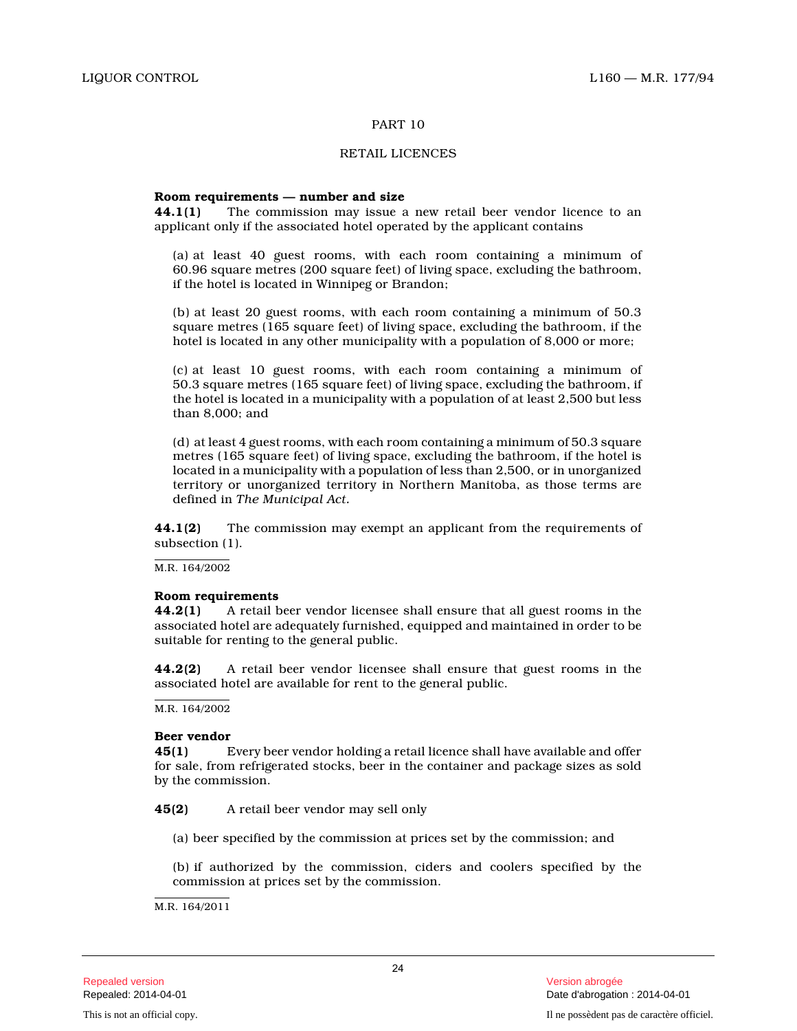# RETAIL LICENCES

#### **Room requirements — number and size**

**44.1(1)** The commission may issue a new retail beer vendor licence to an applicant only if the associated hotel operated by the applicant contains

(a) at least 40 guest rooms, with each room containing a minimum of 60.96 square metres (200 square feet) of living space, excluding the bathroom, if the hotel is located in Winnipeg or Brandon;

(b) at least 20 guest rooms, with each room containing a minimum of 50.3 square metres (165 square feet) of living space, excluding the bathroom, if the hotel is located in any other municipality with a population of 8,000 or more;

(c) at least 10 guest rooms, with each room containing a minimum of 50.3 square metres (165 square feet) of living space, excluding the bathroom, if the hotel is located in a municipality with a population of at least 2,500 but less than 8,000; and

(d) at least 4 guest rooms, with each room containing a minimum of 50.3 square metres (165 square feet) of living space, excluding the bathroom, if the hotel is located in a municipality with a population of less than 2,500, or in unorganized territory or unorganized territory in Northern Manitoba, as those terms are defined in *The Municipal Act.*

**44.1(2)** The commission may exempt an applicant from the requirements of subsection (1).

#### M.R. 164/2002

#### **Room requirements**

**44.2(1)** A retail beer vendor licensee shall ensure that all guest rooms in the associated hotel are adequately furnished, equipped and maintained in order to be suitable for renting to the general public.

**44.2(2)** A retail beer vendor licensee shall ensure that guest rooms in the associated hotel are available for rent to the general public.

 $M.R. 164/2002$ 

# **Beer vendor**

**45(1)** Every beer vendor holding a retail licence shall have available and offer for sale, from refrigerated stocks, beer in the container and package sizes as sold by the commission.

**45(2)** A retail beer vendor may sell only

(a) beer specified by the commission at prices set by the commission; and

(b) if authorized by the commission, ciders and coolers specified by the commission at prices set by the commission.